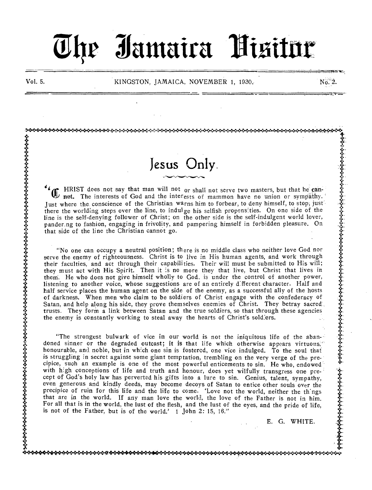# **Xamaira 11thitor**

#### Vol. 5.  $N_0^{1.2}$ . KINGSTON, JAMAICA, NOVEMBER 1, 1930.  $N_0^{2.2}$ .

 $\ddot{\gamma}$  .

 $\ddot{\bm{x}}$ 

## Jesus Only.

**A** HRIST does not say that man will not or shall not serve two masters, but that he can-**U** not. The interests of God and the interests of mammon have no union or sympathy. '<br>Iust where the conscience of the Christian warns him to forbear, to deny himself, to stop, just there the worlding steps over the line, to indulge his selfish propensities. On one side of the line is the self-denying follower of Christ; on the other side is the self-indulgent world lover, pander.ng to fashion, engaging in frivolity, and pampering himself in forbidden pleasure. On that side of the line the Christian cannot go.

"No one can occupy a neutral position; there is no middle class who neither love God nor serve the enemy of righteousness. Christ is to live in His human agents, and work through their faculties, and act through their capabilities. Their will must be submitted to His will; they must act with His Spirit. Then it is no more they that live, but Christ that lives in them. He who does not give himself wholly to God. is under the control of another power, listening to another voice, whose suggestions are of an entirely different character. Half and half service places the human agent on the side of the enemy, as a successful ally of the hosts of darkness. When men who claim to be soldiers of Christ engage with the confederacy of Satan, and help along his side, they prove themselves enemies of Christ. They betray sacred trusts. They form a link between Satan and the true soldiers, so that through these agencies the enemy is constantly working to steal away the hearts of Christ's soldiers.

"The strongest bulwark of vice in our world is not the iniquitous life of the abandoned sinner or the degraded outcast; it is that life which otherwise appears virtuous," honourable, and noble, but in which one sin is fostered, one vice indulged. To the soul that is struggling in secret against some giant temptation, trembling on the very verge of the precipice, such an example is one of the most powerful enticements to sin. He who, endowed with high conceptions of life and truth and honour, does yet wilfully transgress one precept of God's holy law has perverted his gifts into a lure to sin. Genius, talent, sympathy, even generous and kindly deeds, may become decoys of Satan to entice other souls over the precipice of ruin for this life and the life to come. 'Love not the world, neither the things that are in the world. If any man love the world, the love of the Father is not in him. For all that is in the world, the lust of the flesh, and the lust of the eyes, and the pride of life, is not of the Father, but is of the world.' 1 John 2: 15, 16."

Entre trata de la facta de la facta de la facta de la facta de la facta de la facta de la facta de la facta de la facta de la facta de la facta de la facta de la facta de la facta de la facta de la facta de la facta de la

E. G. WHITE.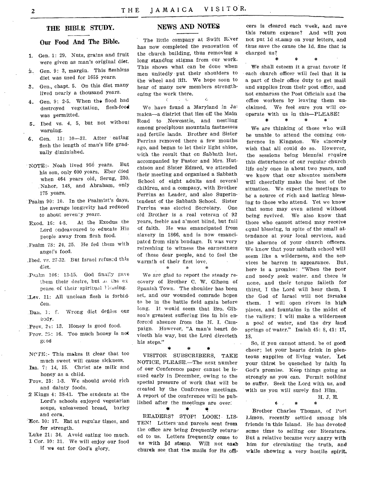THE BIBLE STUDY.

### Our Food And The Bible.

- 1. Gen. 1: 29. Nuts, grains and fruit were given as man's original diet.
- $\Delta$ . Gen. 9: 3, margin. This fleshless diet was used for 1655 years:
- 3. Gen., chapt. 5. On this diet many lived nearly a thousand years.
- 4. Gen. 9: 2-5. When tha flood had destroyed vegetation, flesh-food was permitted.
- 5.. Ibed vs. 4, 5, but not without warning.
- b. Gen. 11: 10-31. After eating flesh the length of man's life gradually diminished.
- NOTE:- Noah lived 950 years. But his son, only 600 years. Eber died when 464 years old, Serug, 230, Nahor, 148, and Abraham, only 175 years.
- PSalm 90: 10. In the Psalmist's days, the average longevity had. reduced to about seventy years.
- Exod. 16: 4-8. At the Exodus the Lord endeavoured to educate His people away from flesh food. •
- .Psalm 78: 24, 25. He fed them with angel's food.
- .Ibed. *vs.* 27-32. But Israel refused this diet.
- .Psalm 106: 13-15. God finally gave them their desire, but at the ex pense of their spiritual lissing.
- :Lev. 11: All unclean flesh is forbidden.
- Dan. 1: F. Wrong diet defiles our body.
- Prov. 24: 13. Honey is good food.
- Prov. 25: 16. Too much honey is not good
- NC FE:- This makes it clear that too much sweet will cause sickness.
- Isa. 7: 14, 15. Christ ate milk and honey as a child.
- Prov. 23: 1-3. We should avoid rich and dainty foods.
- 2 Kings 4: 38-41. The students at the Lord's schools enjoyed vegetarian soups, unleavened bread, barley and corn.
- Mac. 10: 17. Eat at regular times, and for strength.

Luke 21: 34. Avoid eating too much. Cor. 10: 31. We will enjoy our food

if we eat for God's glory.

#### NEWS AND NOTES

The little company at Swift R.ver has now completed the renovation of the church building, thus removing a long standing stigma from our work. This shows what can be done when men unitedly put their shoulders to the wheel and lift. We hope soon to hear of many new members strength-

ening the work there. ż. We have found a Maryland in Jamaica—a district that lies off the Main

Road to Newcastle, and nestling among precipitous mountain fastnesses and fertile lands. Brother and Sister Perrins removed there a few months ago, and began to let their light shine, with the result that on Sabbath last, accompanied by Pastor and Mrs. Hutchison and Sister Edmed, we attended their meeting and organized a Sabbath School of eight adults and several children, and a company, with Brother Perrins as Leader, and also Superintendent of the Sabbath School. Sister Perrins was elected Secretary. One old Brother is a real veteran of 92 years, feeble and a'most blind, but full of faith. He was emancipated from slavery in 1866, and is now emancipated from sin's bondage. It was very refreshing to witness the earnestness of these dear people, and to feel the armth of their first love.

\* \* \* We are glad to report the steady recovery of Brother C. W. Gibson of Spanish Town. The shoulder has been set, and our wounded comrade hopes to be in the battle field again before long. It would seem that Bro. Gibson's greatest suffering lies in his enforced absence from the H. I. Campaign. However, "A man's heart deviseth his way, but the Lord directeth his steps."

#### \* \*

VISITOR SUBSCRIBERS, TAKE NOTICE, PLEASE—The next number of our Conference paper cannot be issued early in December, owing to the special pressure of work that will be created by the Conference meetings. A report of the conference will be published after the meetings are over:<br> $*$   $*$   $*$ 

READERS? STOP! LOOK! LIS-TEN! Letters •and parcels sent from the office are being frequently returned to us. Letters frequently come to us with  $\frac{1}{2}d$  stamp. Will not each church see that the mails for its offi-

cers is cleared each week, and save this return expense? And will You not put ld st.amp on your letters, and thus save the cause the id. fine that is charged us?

We shall esteem it a great favour if each church officer will feel that it is a part of their office duty to get mail and supplies from their post office, and not embarass the Post Officials and the office workers by leaving them unclaimed. We feel sure you will cooperate with us in this—PLEASE!<br> $*$  \*\*\*

We are thinking of those who will be unable to attend the coming conference in Kingston. We sincerely wish that all could do so. However, the sessions being biennial require this disturbance of our regular church life only once in about two years, and we know that our absentee members will cheerfully make the best of the situation. We expect the meetings to be' a source of rich and lasting blessing to those who attend. Yet we know that some may even attend without being revived. We also know that those who cannot attend may receive equal blessing, in spite of the small attendance at your local services, and the absence of your church officers. We know that your sabbath school will seem like a wilderness, and the services be barren in appearance. But. here is a promise: "When the poor and needy seek water. and there is none, and their tongue faileth for thirst, I the Lord will hear them, I the God of Israel will not forsake them. I will open rivers in high places, and fountains in the midst of the valleys; I will make a wilderness a pool of water, and the dry land springs of water." Isaiah 45: 8, 41: 17, 18.

So, if you cannot attend, be of good cheer; let your hearts drink in plenteous supplies of living water. 'Let your thirst be quenched by faith in God's promise. Keep things going as strongiy as you can. Permit nothing to suffer. Seek the Lord with us, and with us you will surely find Him.

#### H. J. E.  $\lambda$

Brother Charles Thomas, of Port Limon, recently settled among his friends in this Island. He has devoted some time to selling our literature. But a relative became very angry with him for circulating the truth, and while showing a very hostile spirit,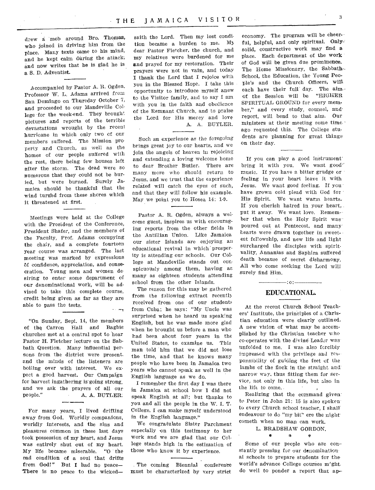drew a mob around Bro. Thomas, who joined in driving him from the place. Many texts came to his mind, and he kept calm during the attack; and now writes that he is glad he is a S. D. Adventist.

Accompanied by Pastor A. R. Ogden, Professor W. L. Adams arrived from San Domingo on Thursday October 7, and proceeded to our Mandeville College for the week-end. They brought pictures and reports of the terrible devastations wrought by the recent hurricane in which only two of our members suffered. The Mission property and Church, as well as the homes of our people suffered with the rest, there being few houses left after the storm. The dead were so numerous that they could not be buried, but were burned. Surely Jamaica should be thankful that the wind turned from these shores which it threatened at first.

Meetings were held at the College with the President of the Conference, President Shafer, and the members of the Faculty, Prof. Adams occupying the chair, and a complete fourteen year course was arranged. The last meeting was marked by expressions Of confidence, appreciation, and consecration. Young men and women desiring to enter some department of our denominational work, will be advised to take this complete course. credit being given as far as they are able to pass the tests. يسادد

"On Sunday, Sept. 14, the members of the Carron Hall and Bagbie churches met at a central spot to hear Pastor H. Fletcher lecture on the Sabbath Question. Many influential persons from the district were present, and the minds of the listeners are boiling over with interest. We expect a good harvest. Our Campaign for harvest ingathering is'going strong, and we ask the prayers of all our<br>people." A. A. BUTLER. people." A. A. BUTLER:

For many years, I lived drifting away from God. Worldly companions, worldly interests, and the sins and pleasures common in these last days took possession of my heart, and Jesus was entirely shut out of my heart. My life became miserable. "0 the sad condition of a soul that drifts from God!" But I had no peace— There is no peace to the wicked-

saith the Lord. Then my lost condition became a burden to me. My dear Pastor Fletcher, the church, and my relatives were burdened for me and prayed for my restoration. Their prayers were not in vain, and today I thank the Lord that I rejoice with you in the Blessed Hope. I take this opportunity to introduce myself anew to the Visitor family, and to say I am with you in the faith and obedience of the Remnant Church, and to praise the Lord for His mercy and love A. A. BUTLER.

Such an experience as the foregoing brings great joy to our hearts, and we join the angels of heaven in rejoicing and extending a loving welcome home to dear Brother Butler. There are many more who should return to Jesus, and we trust that the experience related will catch the eyes of such, and that they will follow his example. May we point you to Hosea 14: 1-9.

Pastor A. R. Ogden, always a welcome guest, inspires us with encouraging reports from the other fields in the Antillian Union. Like Jamaica our sister Islands are enjoying an educational revival in which' prosperity is attending our schools. Our College at Mandeville stands out conspicuously among them, having as many as eighteen students attending school from the other Islands.

The reason for this may be gathered from the following extract recently received from one of our students from Cuba; he says: "My Uncle was surprised when he heard us speaking English, but he was made more glad when he brought us before a man who had been about four years in the United States, to examine us. This man told 'him that we did not lose the time, and that he knows many people who have been in Jamaica two years who cannot speak as well in the English language as we do.

I remember the first day I was there in Jamaica at school how I did not speak English, at all; but thanks to you and all the people in the W. I. T. College, I can make myself understood in the English language."

We congratulate Sister Parchment especially •on this testimony to her work and we are glad that our College stands high in the estimation of those who know it by experience.

The coming Biennial conference must be characterized by very strict

economy. The program will be cheer- ful, helpful, and only spiritual. Onlysolid, constructive work may find a place. Each department of the work of God will be given due prominence. The Home Missionary, the Sabbath-- School, the Education, the Young Peeple's and the Church Officers, will, each have their full day. The  $\text{aim.}$ •of the Session will be "HIGHER SPIRITUAL GROUND for every member," and every study, counsel, andreport, will bend to that aim. Our ministers at their meeting some time\_ ago requested this. The College students are planning for great things on their day.

If you can play a good instrument' bring it with you. We want good' music. If you have a bitter grudge or feeling in your heart leave it with Jesus. We want good feeling. If you have grown cold plead with God for His Spirit. We want warm hearts.- If you cherish hatred in your heart, put it away. We want love. Remember that when the Holy Spirit was poured out at Pentecost, and many' hearts were drawn together in sweetest fellowship, and new life and light surcharged the disciples with spirituality, Annanias and Saphira suffered death because of secret disharmony. All who come seeking the Lord will surely find Him.

#### EDUCATIONAL.

 $-$ :0: $-$ 

At the recent Church School Teachers' Institute, the principles of a Christian education were clearly outlined. A new vision of what may be accomplished by the Christian teacher who co-operates with the divine Leader was unfolded to me. I was also forcibly impressed with the privilege and responsibility of guiding the feet of the lambs of the flock in the straight and narrow way, thus fitting them for service, not only in this life, but also in the life to come..

Realizing that the command given: to Peter in John 21: 15 is also spoken' to every Church school teacher, I shalt endeavour to do "my bit" ere the night cometh when no man can work.

> L. BRADSHAW GORDON.  $\mathcal{H}$

樂

 $\ddot{\phantom{a}}$ 

Some of our people who are constantly pressing for our denominational schools to prepare students for theworld's advance College courses m'ghtdo well to ponder a report that ap--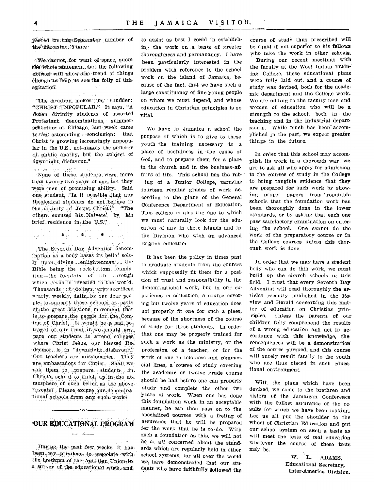,fieldred in the September number of  $\forall$ the $^{\rm b}$ iiiagazine,: $Time_{\odot}$ 

.9We reamnot, for want of space, quote the whole statement, but the following extracts will show the trend of things effough to help ma see the folly of this agitation.

 $\sim 10^{-10}$  k  $^{-1}$ 'The heading makes' us shudder: "CHRIST UNPOPULAR." It says, "A dogen divinity students of assorted Protestant denominations, summerschooling at Chicago, last week came to an astounding  $\sim$  conclusion: that Christ is growing iscreasingly, unpopular in the U.S., not-simply the sufferer of public apathy, but the subject of downright, disfavour."

-Nene of these, students, were more • than twenty-five years of age, but they were men of promising ability\_ Said one student, "Is it possible that any the ological students do not believe in the divinity of Jesus Christ?" "The others excused his Naivete' by, his brief residence in the U.S.".  $\sim$  .

贵妇 网络马尔德马马拉

 $\epsilon \sim \gamma_{\rm c}$  . 计操作程序

The Seventh Day. Adventist denomination as a body bases its belief solely upon divine enlightenmen's the Bible being the rock-bottom, foundation—the fountain of life—through which Jesus is revealed to the wor'd. Thousands cfrdollars, are sacrificed yearly, weekly, daily, by our dear peopleto, support these schools as parts ef the great Missions movement that is to prepare the people for the Com- $\text{rigg}_{\alpha}$  of Christ,  $\text{It would be a sad, be }$ traval of our trust, if we should prepare our students to attend colleges. where Christ Jesus, our blessed Re $deemer_r$  is in "downright disfavour." Our teachers, are missionaries. They are ambassadors for Christ, , Shall, we, ask them. to prepare students in Christ's school to finish up in the atmosphere of such belief as the above. reveals? Please excuse our denominational schools from any such work!

### **•OUR EDUCATIONAL PROGRAM**

 $\cdots$  : 0 :  $-$ 

During the past few weeks, it has  $begin{minipage}{0.2\linewidth} \nbegin{tabular}{l} \hline \textbf{begin} x & \textbf{m}y & \textbf{privilege. to . associate} \nend{tabular} \n\end{minipage}$  $\mathtt{the\_brether}$  of the Autillian Union  $\mathtt{in}_i$ a survey of the educational work, and,

to assist as best I could in establishing the work on a basis of greater thoroughness and permanancy. I have been particularly interested in the problem with reference to the school work on the island of Jamaica, because of the fact, that we have such a large constituency of fine young people on whom we must depend, and whose education in Christian principles is so vital.

We have in Jamaica a school the purpose of which is to give to these youth the training necessary to a place of usefulness in -the cause of God, and to prepare them for a place in the church and in the business-affairs of life. This school has the rating of a Junior College, carrying fourteen regular grades of work according to the plans of the General Conference Department of Education. This college is also the one to which we must naturally look for the education of any in these islands and in the Division who wish an advanced English education.

It has been the policy in times past to graduate students from the courses which supposedly fit them for a position of trust and responsibility in the denominational work, but in our experience in education, a course covering but twelve years of education does not properly fit one for such a place, because of the shortness of the course of study for these students. In order that one may be properly trained for such a work as the ministry, or the profession of a teacher, or for the work of one in business and commercial lines, a course of study covering the academic or twelve grade course should be had before one can properly study and complete the other twc years of work. When one has done this foundation work in an acceptable manner, he can then pass on to the specialized courses with a feeling of assurance that he will be prepared for the work that he is to do. With such a foundation as this, we will not be at all concerned about the standards which are regularly held in other school systems, for all over the world we; have demonstrated that our students who have faithfully followed the

course of study thus prescribed will be equal if not superior to his fellows who take the work in other schools.

During our recent meetings with the faculty at the West Indian Train-' ing College, these educational plans were fully laid out, and a course of study was devised, both for the academic department and the College work. We are adding to the faculty men and women of education who will be a strength to the school, both in • the teaching and in the industrial departments. While much has been accomplished in the past, we expect greater things in the future.

In order that this school may accomplish its work in a thorough way, we are to ask all who apply for admission to the courses of study in the College to bring tangible evidence that they are prepared for such work by showing proper papers from 'reputable schools that the foundation work has been thoroughly done in the lower standards, or by asking that each one pass satisfactory examination on entering the school, One cannot do the work of the preparatory course or in the College courses unless this thorough work is done.

In order that we may have a student body who can do this work, we must build up the church schools in this field. I trust that every Seventh Day Adventist will read thoroughly the articles recently published in the Review and Herald concerning this matter of education on Christian prin-<br>ciples. Unless the parents of our Unless the parents of our children fully comprehend the results of a wrong education and act in accordance with this knowledge, the consequences will be a demonstration of the course pursued, and this course will surely result fatally to the youth who are thus placed in such educational environment.

With the plans which have been devised, we come to the brethren and sisters of the Jamaican Conference with the fullest assurance of the results for which we have been looking. Let us all put the shoulder to the wheel of Christian Education and put our school system on such a basis as will meet the tests of real education whatever the course of these tests may be.

> W. L. ADAMS, Educational Secretary, Inter-America Division.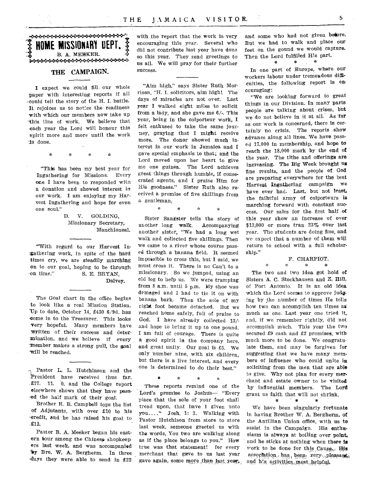

#### THE CAMPAIGN.

I expect we could fill our whole paper with interesting reports if all -could tell the story of the H. I. battle. It rejoices us to notice the readiness with which our members now take up -this line of work. We believe that each year the Lord will honour this spirit more and more until the work is done.

> $\mathbf{z}$  $\mathbf{S}_k$ ż.

"This has been my best year for Ingathering for Missions. Every one I have been to responded with a donation and showed interest in our work. I am enjoying my Harvest Ingathering and hope for even one soul."

> D. V. GOLDING, Missionary Secretary, Manchioneal.

"With regard to our Harvest In. gathering work, in spite of the hard times cry, we are steadily marching on to our goal, hoping to be through on time."  $S$ ,  $E$ ,  $BRYAN$ S. E. BRYAN, Dalvey.

The Goal chart in the office begins to look like a real Mission Station. Up to date, October 14, £430 6/9d. has .come in to the Treasurer. This looks very hopeful. Many members have written of their success and determination, and we believe if every -member makes a strong pull, the goal will be reached.

Pastor L. L. Hutchinson and the President have received thus far, E77. 11. O. and the College report elsewhere shows that they have pass- ..ed the half mark of their goal.

Brother R. B. Campbell tops the list of Adjutants, with over £10 to his credit, and he has raised his goal to £12.

Pastor B. A. Meeker began his eastern tour among the Chinese shopkeepers last week, and was accompanied by Bro. W. A. Bergherm. In three days they were able to send in £22 with the report that the work is very encouraging this year. Several who did not contribute last year have done so this year. They send greetings to us all. We will pray for their further success.

"Aim high," says Sister Ruth Morrison, "H. I. solicitors, aim high!, The days of miracles are not over. Last year I walked eight miles to solicit from a lady, and she gave me 6/-. This year, being in the colporteur work, I felt enthused to take the same journey, praying that I might receive more. The donor showed much interest in our work in Jamaica and I gave special emphasis to that; and the Lord moved upon her heart to give me one guinea. The Lord achieves great things through humble, if consecrated agents, and I praise Him for His goodness." Sister Ruth also *received* a promise of five shillings from a gentleman.

> y.  $\mathbf{r}$  $\mathcal{L}$

Sister Sangster tells the story of<br>bother long walk. Accompanying another long walk. another sister, "We had a long wet walk and collected five shillings. Then we came to a river whose course passed through a banana field. It seemed impossible to cross this, but I said, we must cross it. There is no Can't to a missionary. So we jumped, using an old log to help us. We were tramping from 8 a.m. until 5  $p.m.$  My shoe was damaged and I had to tie it on with banana bark. Then the sole of my right foot became detached. But we reached home safely, full of praise to God. I have already collected 13/ and hope to bring it up to one pound. I am full of courage. There is quite a good spirit in the company here, and great unity. Our goal is £5. We only 'number nine, with six children, but there is a live interest, and every one is determined to do their best."

> $\mathbf{z}$  $\mathcal{R}$

These reports remind one of the Lord's promise to Joshua— "Every place that the sole of your foot shall tread upon, that have I given unto you...." Josh. 1: 3. Walking with Pastor Hutchison from store to store last week, someone greeted us with the words, You two are walking along as if the place belongs to you." How true was that statement! for every merchant that gave to us last year gave again, some more than last year,

and some who had not given before. But we had to walk and place our feet on the gound we would capture. Then the Lord fulfilled His part. \* \*  $\mathbf{z}$ 

In one part of Europe, where our workers labour under tremendous difficulties, the following report is encouraging:

"We are looking forward to great things in our Division. In many parts people are talking about crises, but we do not believe in it at all. As 'far as our work is concerned, there is certainly no crisis. The reports show advance along all lines. We have passed 17.000 in membership, and hope to reach the 18,000 mark by the end of the year. The tithe and offerings are increasing. The Big Week brought us fine results, and the people of God are preparing everywhere for the best Harvest Ingathering campaign we have ever had. Last, but not least, the faihtful army of colporteurs is marching forward with constant success. Our sales for the first half of this year show an increase of over \$13,000 or more tran 23% over last year. The students are doing fine, and we expect that a number of them will return to school with a full scholarship."

#### F. CHARPIOT.  $\dot{x}$  $\mathbb{R}$

The two and two idea got hold of Sisters A. C. Stockhausen and Z. Hill, of Port Antonio. It is an old idea which the Lord seems to approve judging by the number of times He tells how two can accomplish ten times as much as one. Last year one tried it, and, if we remember rightly, did not accomplish much. This year the two secured £9 cash and £2 *promises,* with much more to be done. We congratulate them, and may be forgiven for suggesting that we have many members of influence who could unite in soliciting from the men that are able to give. Why not plan for every merchant and estate owner to be visited by influential members. The Lord grant us faith that will not shrink.

\*

We have been singularly fortunate in having Brother W. A. Bergherm, of the Antillian Union office, with us to assist in the Campaign. His enthusiasm is always at boiling over point, and he sticks at nothing when there is work to be done for this Cause. association, has, been, very opleasant. and his activities, most helpful.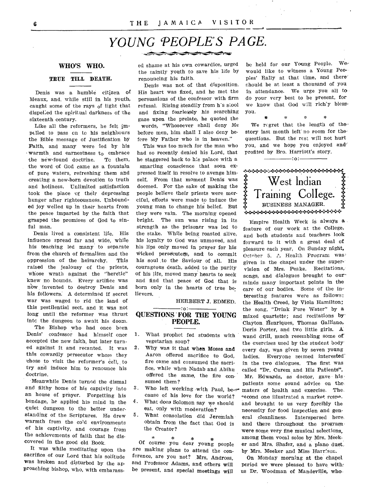### *YOUNG PEOPLE' S PAGE.*

#### WHO'S WHO.

#### TRUE TILL DEATH.

Denis was a humble citizen of Meaux, and. while still in his youth, caught some of the rays of light that dispel:ed the spiritual darkness of the sixteenth century.

Like all the reformers, he felt impelled to pass on to his neighbours the Bible message of Justification by Faith, and many were led by his  $\cdot$  warmth and earnestness  $t_0$  embrace<br>the new-found doctrine. To them, the new-found doctrine. the word of God came as a fountain of pure waters, refreshing them and creating a new-born devotion to truth and holiness. Unlimited satisfaction took the place of their depressing hunger after righteousness. Unbounded joy welled up in their hearts from the peace imparted by the faith that grasped the promises of God to sinful man.

Denis lived a consistent life. His influence spread far and wide, while his teaching led many to separate from the church of formalism and the<br>oppression of the heirarchy. This oppression of the heirarchy. raised the jealousy of the priests, whose wrath against the "heretic" knew no bounds. Every artifice was now invented to destroy Denis and his followers. A determined if secret war was waged to rid the land of this pestilential sect, and it was not long until the reformer was thrust into the dungeon to await his doom.

The Bishop who had once been Denis' confessor had himself once accepted the new faith, but later turned against it and recanted. It was this cowardly persecutor whom they 'chose to visit the reformer's cell, to try and induce him to renounce his doctrine.

Meanwhile Denis turned the dismal and filthy home of his captivity into an house of prayer. Forgetting his bondage, he applied his mind in the quiet dungeon to the better understanding of the Scriptures. He drew warmth from the cold environments of his captivity, and courage from the achievements of faith that he discovered in the good old Book.

It was while meditating upon the sacrifice of our Lord that his solitude was broken and disturbed by the approaching bishop, who, with embarassed shame at his own cowardice, urged the saintly youth to save his life by renouncing his faith.

Denis was not of that disposition. His heart was fixed, and he met the persuasions of the confessor with firm refusal. Rising steadily from h's stool and fixing fearlessly his searching gaze upon the prelate, he quoted the words, "Whosoever shall deny Me before men, him shall I also deny before My Father who is in heaven."

This was too much for the man who had so recently denied his Lord, that he staggered back to his palace with a smarting conscience that soon expressed itself in resolve to avenge himself. From that moment Denis was doomed. For the sake of making the people believe their priests were merciful, efforts were made to induce the young man to change his belief. But they were vain. The morning opened bright. The sun was rising in its strength as the prisoner was led to the stake. While being roasted alive, his loyalty to God was unmoved, and his lips only moved in prayer for his wicked persecuters, and to commit his soul to the Saviour of all. His courageous death, added to the purity of his life, moved many hearts to seek and find that peace of God that is born only in the hearts of true believers.

#### HERBERT J. EDMED.

#### :o: QUESTIONS FOR THE YOUNG PEOPLE.

- 1. What prophet fed students with vegetarian soup?
- 2. Why was it that when Moses and Aaron offered sacrifice to God, fire came and consumed the sacrifice, while when Nadab and Abihu offered the same, the fire consumed them?
- 3. Who left working with Paul, because of his love for the world?
- 4. What does Solomon say we should eat, only with moderation?
- 5. What consolation did Jeremiah obtain from the fact that God is the Creator?

a Of course you dear young people  $\mathcal{R}$ are making plans to attend the conference, are you not? Mrs. Andross, and Professor Adams, and others will be present, and special meetings will

be held for our Young People. Wewould like to witness a YOung Peoples' Rally at that time, and there' should be at least a thousand of you in attendance. We urge you all to do your very best to be present, for we know that God will rich'y bless, you.

We regret that the length of thestory last month left' no room for thequestions. But the rest will not hurt you, and we hope you enjoyed and' profited by Bro. Harriott's story.

 $\overline{\phantom{0}}$ :-



Empire Health Week is always a feature of our work at the College, and both students and teachers look forward to it with a great deal of pleasure each year. On Sunday night, October 5.  $\Lambda$ . Health Program was: given in the chapel under the supervision of Mrs. Peake. Recitations, scngs, and dialogues brought to ourminds many important points in the care of our bodies. Some of the interesting features were as follows: the Health Creed, by Viola Hamilton; the song, "Drink Pure Water" by a mixed quartette; and recitations by-Clayton Henriques, Thomas Galliano, Doris Porter, and two little girls. A wand drill, much resembling some of the exercises used by the student body every day, was given by seven young ladies. Everyone seemed interested in the two dialogues. The first was called "Dr. Curem and His Patients". Mr. Edwards, as doctor, gave hispatients some sound advice on the, maters of health and exercise. The, recond one illustrated a market scene. and brought to us very forcibly the necessity for food inspection and general cleanliness. Interspersed here, and there throughout the program were Some very fine musical selections, among them vocal solos by Mrs. Meeker and Mrs. Shafer, and a piano duet. by Mrs. Meeker and Miss Harrison.

On Monday morning at the chapel period we were pleased to have with: us Dr. Woodman of Mandeville, wha-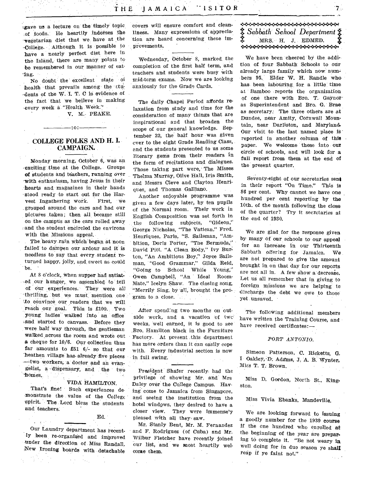, gave us a lecture on the timely topic :of foods. He heartily indorses the -vegetarian diet that we have at the College. ", Although it, is possible to have a nearly perfect diet here in the Island, there are many points to be remembered in our manner of eat*ing-*

No doubt the excellent state of health that prevails among the stu--dents of the W. I. T. C is evidence of the fact that we beileve in making -every week a "Health Week."

V. M. PEAKE.

#### COLLEGE FOLKS AND H. I. CAMPAIGN.

 $-101 -$ 

Monday morning, October 6, was an -exciting time at the College. Groups of students and teachers, running over -with enthusiasm, having Jesus in their hearts and magazines in their hands stood ready to start out for the Harvest Ingathering work. First, we grouped around the cars and had our pictures taken; then all became still on the camptis as the cars rolled away :and the student encircled the environs with the Missions appeal.

The heavy rain which began at noon failed to dampen our ardour and it is needless to say that every student returned happy, jolly, and, sweet as could be.

At 8 o'clock, when supper had satiated our hunger, we assembled to tell of our experiences. They were all thrilling, but we must mention one to convince our readers that we will reach our goal. This is £100. Two young ladies walked into an office :and started to canvass. Before they were half way through, the gentleman walked across the room and wrote out a cheque for 10/6. Our collection thus far amounts to £51 6/- so that our 'heathen village has- already five pieces —two workers, a doctor and an evangelist, a dispensary, and the two homes.

#### VIDA HAMILTON.

That's fine! Such experiences demonstrate the value of the College spirit. The. Lord bless the students and teachers.

Ed.

Our Laundry department has recently been re-organized and improved under the direction of Miss Randall. New Ironing boards with detachable

> $\sim$   $\sim$  $\alpha = \alpha$  .

 $\chi = \chi \sim 10^{-1}$ 

covers will ensure comfort and cleanliness. Many expressions of appreciation are heard concerning these improvements.

Wednesday, October 8, marked, the completion of the first half term, and teachers and students were busy with mid-term exams. Now we are looking anxiously for the Grade Cards.

The daily Chapel Period affords relaxation from study and time for the consideration of many things that are inspirational and that broaden the scope of our general knowledge. September 22, the half hour was given ever to the eight Grade Reading Class, and the students presented to us some literary gems from their readers in the form of recitations and dialogues. Those taking part were, The Misses Thelma Murray, Olive Hall, Iris Smith, and Messrs Cleve and Clayton Henriques, and Thomas Galliano.

Another enjoyable programme was given a few days later, by ten pupils of the Normal room. Their work in English Composition was set forth in the following subjects, "Gideon," George Nicholas, "The Vatican," Fred. Henriques, Paris, "S. Sailsman, "Ambition, Doris Porter, "The Bermuda," David Pitt. "A Clean Body," Ivy Burton, "An Ambitious Boy," Joyce Sailsman, "Good Grammar," Gilda Reid, "Going to School While Young," Owen Campbell, "An Ideal Room-Mate," Icelyn Shaw. The closing song, "Merrily Sing, by all, brought the program to a close.

After spending two months on outside work, and a vacation of two weeks, well earned, it is good to see Bro. Hamilton black in the Furniture Factory. At present this department has more orders than it can easily cope with. Every industrial section is now in full swing.

President Shafer recently- had the privilege of showing Mr. and Mrs Daley over' the College Campus. Having come to Jamaica from Singapore, and seeing the institution from the hotel windows, they desired to have a closer view. They were immense'y pleased with all they- saw.

Mr. Stanly Bent, Mr. M. Fernandez and F. Rodriguez (of Cuba) and Mr. Wilbur Fletcher have recently joined our list, and we most heartily welcome them.

**Reference of Control Control Control Control Control** *Sabbath' School Department* T.  $\ddot{\bm{\mathcal{X}}}$  = MRS. H. J. EDMED.  $\ddot{\bm{\mathcal{Y}}}$ 

We have been cheered by the addition of four Sabbath Schools to our already large family which now numbers 95. Elder W. H. Randle who has been labouring for a little time at Bamboo reports the organization of one there with Bro. T. Gaynoras Superintendent and Bro. G. Brae as secretary: The three others are at Dundee, near Amity, Cornwall Mountain, near Darliston, and Maryland. Our visit to the last named place is reported in another column of this paper. We welcome these into our circle of schools, and will look for a full report from them at the end of the present quarter.

Seventy-eight of our secretaries sent in their report "On Time." This is 86 per cent. Why cannot we have one hundred per cent reporting by the 10th. of the month following the close of the quarter? Try it secretaries at the end of 1930.

We are glad, for the response given by many of our schools to our appeal for an increase in our Thirteenth Sabbath offering for Jamaica. We are not prepared to give the amount brought in on that day for our reports are not all in. A few show a decrease. Let us all remember that in giving to foreign missions we are helping to discharge the debt we owe to those yet unsaved.

The following additional members have written the Training Course, and have received certificates:—

#### *PORT ANTONIO.*

Simeon Patterson, C. Ricketts, G. I Oakley,-D. Adams, J. A. B. Wynter, Mies T. T. Brown.

Miss D. Gordon, North St., Kingsten.

Miss Vivia Ebanks, Mandeville.

We are looking forward to issuing a goodly number for the 1930 course if the one hundred who enrolled at the beginning of the year are preparing to complete it. "Be not weary in well doing for in due season ye shall reap if ye faint not."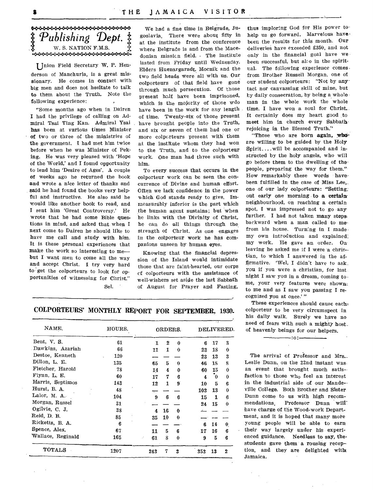0.:•+•:••)•:••:-+•,:•+•:••:•041•14.:••:••:••:••:••:••:••:••:•44 Publishing Dept. *w.* S. NATION F.M.S. •-•:•\*:••:••:••:••:••»••:••):•s:••:••:•••:-::••:••:••:•+•:••:••:••:••

Union Field Secretary W. P. Henderson of Manchuria, is a great missionary. He comes in contact with big men and does not hesitate to talk to them about the Truth. Note the following experience:

"Some months ago when in Dairen **I** had the privilege of calling on Admiral Tsai Ting Kan. Admiral Ysai has been at various times Minister of two or three of the ministries of the government. I had met him twice before when he was Minister of Peking. He was very pleased with 'Hope of the World,' and I found opportunity to lend him 'Desire of Ages'. A couple of weeks ago he returned the book and wrote a nice letter of thanks and said he had found the books very helpful and instructive. He also said he would like another book to read, and I sent him 'Great Controversy.' He wrote that he had some Bible questions in mind, and asked that. when I next come to Dairen he should like to have me call and study with him. It is these personal experiences that make the work so interesting to me but I want men to come all the way and accept Christ. I try very hard to get the colporteurs to look for opportunities of witnessing for Christ." Sel.

We had a fine time in Belgrade, Jugoslavia. There were about fifty in at the institute from the conference where Belgrade is and from the Macedonian missicn field. • The institute lasted from Friday until Wednesday. Elders Huenargaradt, Mocnik and the two field heads were all with us. Our colporteurs of that field have gone through much persecution. Of those present half have been imprisoned, which is the mojority of those wdo have been in the work for any length of time. Twenty-six of those present have brought people into the Truth, and six or seven of them had one or more colporteurs present with them at the institute whom they had won to the Truth, and to the colporteur work. One man had three such with him.

To every success that occurs in the colporteur work can be seen the concurrence of Divine and human effort. Often we lack confidence in the power which God stands ready to give. Immeasurably inferior is the part which the human agent sustains; but when he links with the Divinity of Christ, he can do all things through the strength of Christ. As one engages in the colporteur work he has companions unseen by human eyes.

Knowing that the financial depression of the Island would intimidate those that are faint-hearted, our corps cf colporteurs with the assistance of well-wishers set aside the last Sabbath of August for Prayer and Fasting,

thus imploring God for His power to. help us go forward. Marvelous havebeen the results for this month. Our deliveries have exceeded £350, and not only in the financial goal have we been successful, but also in the spiritual. The following experience comes. from Brother Russell Morgan, one of our student colporteurs: "Not by any tact nor canvassing skill of mine, but by daily consecration, by being a whole man in the whole work the whole time. I have won a soul for Christ. It certainly does my heart good to meet him in church every Sabbathrejoicing in the Blessed Truth."

"Those who are born again, whoare willing to be guided by the Holy Spirit....will be accompanied and instructed by the holy angels, who will go before them to the dwelling of the, people, preparing the way for them." How remarkably these words have, been fulfilled in the case of Miss Lee,. one of our lady oolporteurs: "Setting, out early one morning to a certain neighbourhood, on reaching a certain spot, I was impressed not to go any further. I had not taken many stepsbackward when a man called to mefrom his house. Turning in I mademy own introduction and explained: my work. He gave an order. On leaving he asked me if I were a chris- tian, to which I answered in the affirmative. 'Wel, I didn't have to ask. you if you were a christian, for lastnight I saw you in a dream, coming tome, your very features were shown, to me and as I saw you passing I recognized you at once.' "

These experiences should cause eachcolporteur to be very circumspect in his daily walk. Surely we have no need of fears with such a mighty host\_ of heavenly beings for our helpers.

:o:

The arrival of Professor and Mrs. Leslie Dunn, on the 22nd instant was an event that brought much satisfaction to those  $wh<sub>0</sub>$  feel an interest in the industrial side of our Mandeville College. Both Brother and Sister Dunn come to us with high recom-<br>mendations Professor Dunn will Professor Dunn will have charge of the Wood-work Department, and it is hoped that many more young people will be able to earn their way largely under his experienced guidance. Needless to say, thestudents gave them a rousing reception, and they are delighted with Jamaica.

### COLPORTEURS' MONTHLY REPORT FOR SEPTEMBER, 1930.

| NAME.             | HOURS. | ORDERS. |    |          | <b>DELIVERED.</b> |    |              |
|-------------------|--------|---------|----|----------|-------------------|----|--------------|
| Bent, V. S.       | 61     | T       | 2  | 0        | 6                 | 17 | 3            |
| Dawkins, Azariah  | 66     | 11      | 1  | 0        | 23                | 18 | $\theta$     |
| Destoe, Kenneth   | 120    |         |    |          | 23                | 13 | 3            |
| Dillon, L. E.     | 135    | 65      | 5  | 0        | 46                | 18 | 8            |
| Fletcher, Harold  | 78     | 14      | 4  | 0        | 60                | 15 | 0            |
| Flynn, L. E.      | 60     | 17      | 7  | 6        | 4                 | 0  | 0            |
| Harris, Septimos  | 143    | 12      | 1  | g        | 10                | 5  | 6            |
| Hurst, B. A.      | 48     |         |    |          | 103               | 13 | 0            |
| Lalor, M. A.      | 104    | 9       | 6  | 6        | 15                | 1  | 6            |
| Morgan, Russel    | 31     |         |    |          | 24                | 15 | 0            |
| Ogilvie, C. J.    | 38     | 4       | 16 | 0        |                   |    |              |
| Reid, D. B.       | 85     | 35      | 10 | $\theta$ |                   |    |              |
| Ricketts, B. A.   | 6      |         |    |          | 6                 | 14 | $\mathbf{0}$ |
| Spence, Alex.     | 67     | 11      | 5  | 6        | 17                | 16 | 6            |
| Wallace, Reginald | 165    | 61<br>л | 8  | 0        | 9                 | 5  | 6            |
| <b>TOTALS</b>     | 1207   | 243     | 7  | 3        | 353               | 13 | 2            |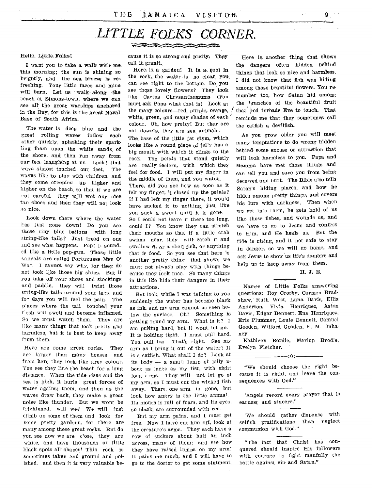### *LITTLE FOLKS CORNER.*

#### Hello. Little Folks!

I want you to take a walk with me this morning; the sun is shining so brightly, and the sea breeze is refreshing. Your little faces and mine wilt burn. Let us walk- along the beach at Simons-town, where we can see all the great warships anchored in the Bay, for this is the great Naval Base of South Africa.

The water is deep blue and the great rolling waves follow each other quickly, splashing their sparkling foam upon the white sands of the shore, and then run away from our feet laaughing at, us. Look! that wave almost touched. our, feet. The waves like to play with children, and they come creeping up higher and higher on' the beach, no that if we are not careful they will wet our nice tan shoes and then they will not look an nice.

Look down there where the water has just gone down! Do you see those tiny blue ballons with long string-like tails? Just tread on one and see what happens. Pop! It sounded like a little pop-gun. Those little animals are called Portuguese Men 0' War. I cannot say why, for they do not look like those big ships. But if you take off your shoes and stockings and paddle, they will twist those string-like tails around your legs, and for days you will feel the pain. The p'aces where the tail touched your f esh will swell and become inflamed. So we must watch them. They are like many things that look pretty and harmless, but it is best to keep away from them.

Here are some great rocks. They arc larger than many houses, and from here they look like grey colour. You see they line the beach for a long distance. When the tide rises and the sea is high, it hurls great forces of water against them, and then as the waves draw back, they make a great noise like thunder. But we wont be frightened, will we? We will just climb up some of them and look for some pretty gardens, for there are many among these great rocks. But do you see now we are c'ose, they are white, and have thousands of little black spots all shapes! This rock is sometimes taken and ground and polished. and then it is very valuable be-

cause it is..so strong and pretty. They call it,granit.

Here, is a garden! It is a pool in the rock,, the water is so clear, you, can see right to the bottom. Do you see those lovely flowers? They look like Cactus Chrysanthemums (you must ask Papa what that is) Look az the many colours—red, purple, orange,  $\sqrt{ }$ white, green, and many shades of each colour. Oh, how pretty! But they are not flowers, they are sea, animals. The base of the little fat stem, which looks like a round piece of jelly has a big mouth with which it clings to the rock. The, petals that stand quietly are really feelers, with which they feel for food. I will put my finger in the middle of them, and you watch. There, did you see how as soon as it felt my finger, it closed up the petals? If I had left my finger there, it would have sucked it to nothing, just like you suck a sweet until it is gone. So I could not leave it there too long, could I? You know they can stretch their mouths so that if a little crab swims near, they will catch it and swallow it, or a shell fish, or anything that is food. So you see that here is another pretty thing that shows we must not always play with things because they look nice. So many things in this life hide their dangers in their attractions.

But look, while I was talking to you suddenly the water has become black as ink, and my arm cannot be seen below the surface. Oh! Something is getting round my arm. What is it? I am pulling hard, but it wont let go. It is holding tight. I must pull hard. You pull too. That's right. See my arm as I bring it out of the water? It is a catfish. What shall I do? Look at its body — a small lump of jelly about as large as my fist, with eight long arms. They will not let go of my arm, so I must cut the wicked fish away. There, one arm is gone, but look how angry is the little animal. Its mouth is full of foam, and its eyes, so black, are surrounded with red.

But my arm pains. and I must get free. Now I have cut him off, look at the creature's arms. They each have a row of suckers about half an inch across, many of them; and see how they have raised lumps on my arm! It pains me much, and I will have to go to the doctor to get some ointment.

Here is another thing that shows the dangers often hidden behind things that look so nice and harmless. I did not know that fish was hiding among those beautiful flowers. You remember too, how Satan hid among the *I*<sub>ranches</sub> of the beautiful fruit that  $\frac{1}{2}$ od forbade Eve to touch. That reminds me that they sometimes call the catfish a devilfish.

As you grow older you will meet many temptations to do wrong hidden behind some excuse or attraction that will look harmless to you. Papa and Mamma have met those things and can tell you and save you from being deceived and hurt. The Bible also tells Satan's hiding places, and how he hides among pretty things, and covers his lure with darkness. Then when we get into them, he gets hold of us like those fishes, and wounds us, and we have to go to Jesus and 'confess to Him, and He heals us. But the tide is rising, and it not safe to stay in danger, so we will go home, and ask Jesus to show us life's dangers and help us to keep away from them.

#### H. J. E.

Names of Little Folks answering questions: Roy Crosby, Carmen Bradshaw, Ruth West, Luna Davis, Ellis Anderson, Vivia Henriquez, Aston Davis, Edgar Bennett, Ena Henriquez, Eric Plummer, Louie Bennett, Camuel Gooden, Wilford Gooden, E. M. Duhaney.

Kathleen Bordie, Marion Brodie, Evelyn Fletcher.

 $--:0:$ 

"We should choose the right because it is right, and leave the consequences with God."

`Angels record every prayer that is earnest and sincere."

`We should rather dispense with selfish gratifications than neglect communion with God."

"The fact that Christ has conquered should inspire His followers with courage to fight manfully the battle against sin and Satan."

Q